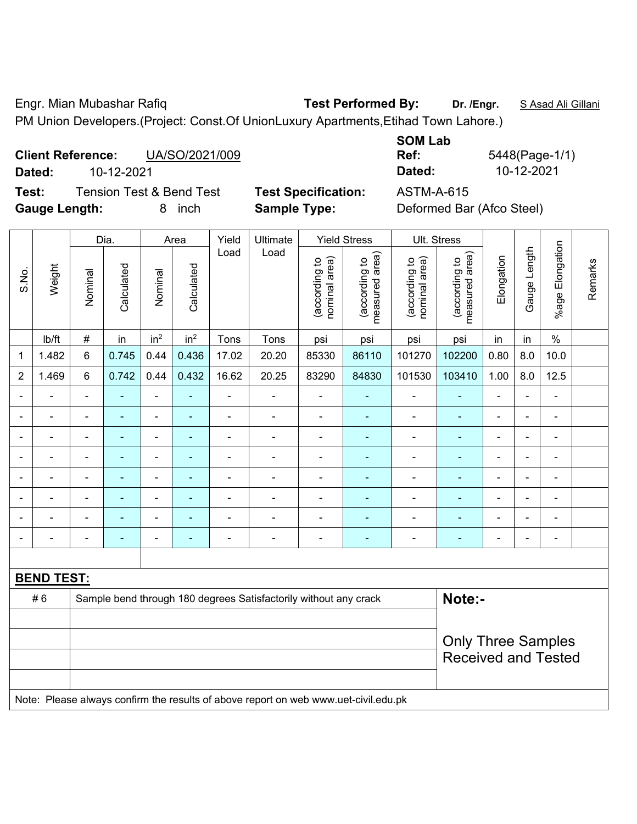Engr. Mian Mubashar Rafiq **Test Performed By: Dr. /Engr.** S Asad Ali Gillani PM Union Developers.(Project: Const.Of UnionLuxury Apartments,Etihad Town Lahore.)

## **Client Reference:** UA/SO/2021/009 **Dated:** 10-12-2021 **Dated:** 10-12-2021

**Test:** Tension Test & Bend Test **Test Specification:** ASTM-A-615 **Gauge Length:** 8 inch **Sample Type:** Deformed Bar (Afco Steel)

|        | Ref:       |  |  |  |  |  |
|--------|------------|--|--|--|--|--|
|        | Dated:     |  |  |  |  |  |
| ntian: | A Q TN A A |  |  |  |  |  |

**SOM Lab** 

**Ref:** 5448(Page-1/1)

|                          |                                                                                     | Dia.           |                | Area                     |                          | Yield          | Ultimate                                                         | <b>Yield Stress</b>            |                                 |                                | Ult. Stress                     |                           |                |                 |         |
|--------------------------|-------------------------------------------------------------------------------------|----------------|----------------|--------------------------|--------------------------|----------------|------------------------------------------------------------------|--------------------------------|---------------------------------|--------------------------------|---------------------------------|---------------------------|----------------|-----------------|---------|
| S.No.                    | Weight                                                                              | Nominal        | Calculated     | Nominal                  | Calculated               | Load           | Load                                                             | (according to<br>nominal area) | (according to<br>measured area) | (according to<br>nominal area) | (according to<br>measured area) | Elongation                | Gauge Length   | %age Elongation | Remarks |
|                          | Ib/ft                                                                               | $\#$           | in             | in <sup>2</sup>          | in <sup>2</sup>          | Tons           | Tons                                                             | psi                            | psi                             | psi                            | psi                             | in                        | in             | $\%$            |         |
| 1                        | 1.482                                                                               | 6              | 0.745          | 0.44                     | 0.436                    | 17.02          | 20.20                                                            | 85330                          | 86110                           | 101270                         | 102200                          | 0.80                      | 8.0            | 10.0            |         |
| $\overline{2}$           | 1.469                                                                               | 6              | 0.742          | 0.44                     | 0.432                    | 16.62          | 20.25                                                            | 83290                          | 84830                           | 101530                         | 103410                          | 1.00                      | 8.0            | 12.5            |         |
|                          |                                                                                     |                |                | ä,                       |                          |                |                                                                  |                                |                                 | -                              |                                 |                           |                | $\blacksquare$  |         |
|                          |                                                                                     |                | $\overline{a}$ | ä,                       |                          | $\blacksquare$ | $\blacksquare$                                                   | $\blacksquare$                 |                                 | ä,                             | ä,                              | $\blacksquare$            | $\blacksquare$ | $\blacksquare$  |         |
| $\blacksquare$           | Ē,                                                                                  | $\blacksquare$ | ÷,             | $\overline{\phantom{0}}$ | ٠                        | $\blacksquare$ | $\blacksquare$                                                   | $\blacksquare$                 | $\blacksquare$                  | $\blacksquare$                 | ٠                               | $\blacksquare$            | ä,             | $\blacksquare$  |         |
|                          | $\blacksquare$                                                                      | $\blacksquare$ | ۰              | $\overline{\phantom{0}}$ | ۰                        | $\blacksquare$ | $\blacksquare$                                                   | $\blacksquare$                 |                                 | $\blacksquare$                 | ۰                               | $\overline{a}$            | ÷              | $\blacksquare$  |         |
|                          | $\blacksquare$                                                                      | $\blacksquare$ | ä,             | $\blacksquare$           | $\overline{\phantom{0}}$ | $\blacksquare$ | ä,                                                               | $\blacksquare$                 | $\blacksquare$                  | $\blacksquare$                 | ÷                               | $\blacksquare$            | ä,             | $\blacksquare$  |         |
|                          |                                                                                     |                |                | $\blacksquare$           |                          |                |                                                                  |                                |                                 | ä,                             | ä,                              |                           |                | $\blacksquare$  |         |
|                          |                                                                                     |                |                | -                        |                          |                |                                                                  |                                |                                 | $\blacksquare$                 |                                 |                           |                | $\blacksquare$  |         |
| $\overline{\phantom{0}}$ | ۰                                                                                   | $\blacksquare$ | ۰              | $\overline{a}$           | ۰                        | $\blacksquare$ | $\blacksquare$                                                   | $\qquad \qquad \blacksquare$   | $\overline{\phantom{a}}$        | $\overline{a}$                 | ۰                               | $\blacksquare$            | $\blacksquare$ | $\blacksquare$  |         |
|                          |                                                                                     |                |                |                          |                          |                |                                                                  |                                |                                 |                                |                                 |                           |                |                 |         |
|                          | <b>BEND TEST:</b>                                                                   |                |                |                          |                          |                |                                                                  |                                |                                 |                                |                                 |                           |                |                 |         |
|                          | #6                                                                                  |                |                |                          |                          |                | Sample bend through 180 degrees Satisfactorily without any crack |                                |                                 |                                | Note:-                          |                           |                |                 |         |
|                          |                                                                                     |                |                |                          |                          |                |                                                                  |                                |                                 |                                |                                 |                           |                |                 |         |
|                          |                                                                                     |                |                |                          |                          |                |                                                                  |                                |                                 |                                |                                 | <b>Only Three Samples</b> |                |                 |         |
|                          |                                                                                     |                |                |                          |                          |                |                                                                  |                                |                                 | <b>Received and Tested</b>     |                                 |                           |                |                 |         |
|                          | Note: Please always confirm the results of above report on web www.uet-civil.edu.pk |                |                |                          |                          |                |                                                                  |                                |                                 |                                |                                 |                           |                |                 |         |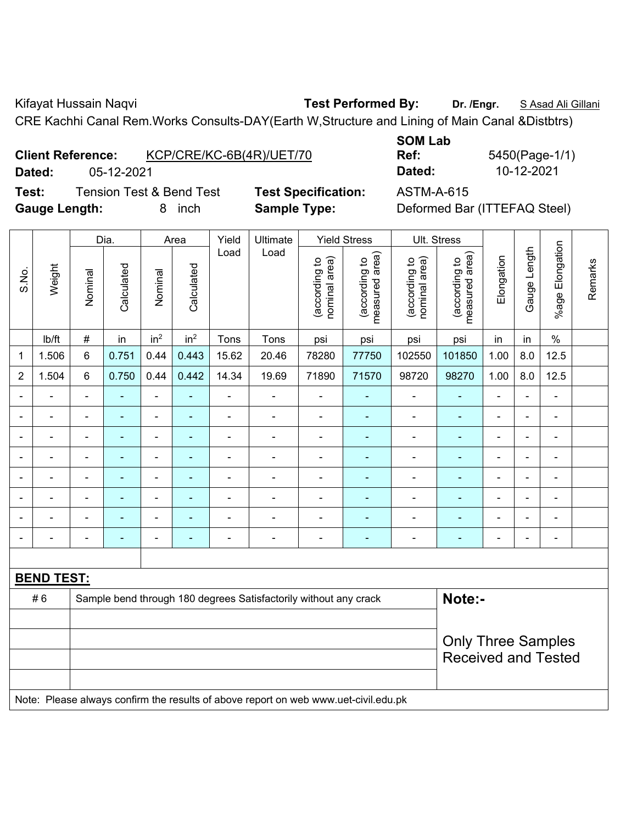Kifayat Hussain Naqvi **Test Performed By:** Dr. /Engr. **SAsad Ali Gillani** Collani

CRE Kachhi Canal Rem.Works Consults-DAY(Earth W,Structure and Lining of Main Canal &Distbtrs)

| <b>Client Reference:</b> | KCP/CRE/KC-6B(4R)/UET/70 |
|--------------------------|--------------------------|
|                          |                          |

**Test:** Tension Test & Bend Test **Test Specification:** ASTM-A-615 **Gauge Length:** 8 inch **Sample Type:** Deformed Bar (ITTEFAQ Steel)

**SOM Lab Ref:** 5450(Page-1/1) **Dated:** 05-12-2021 **Dated:** 10-12-2021

|                |                   | Dia.           |                                                                  | Area                     |                 | Yield                        | Ultimate       | <b>Yield Stress</b>            |                                 | Ult. Stress                    |                                                         |                |                |                 |         |
|----------------|-------------------|----------------|------------------------------------------------------------------|--------------------------|-----------------|------------------------------|----------------|--------------------------------|---------------------------------|--------------------------------|---------------------------------------------------------|----------------|----------------|-----------------|---------|
| S.No.          | Weight            | Nominal        | Calculated                                                       | Nominal                  | Calculated      | Load                         | Load           | nominal area)<br>(according to | (according to<br>measured area) | nominal area)<br>(according to | measured area)<br>(according to                         | Elongation     | Gauge Length   | %age Elongation | Remarks |
|                | Ib/ft             | $\#$           | in                                                               | in <sup>2</sup>          | in <sup>2</sup> | Tons                         | Tons           | psi                            | psi                             | psi                            | psi                                                     | in             | in             | $\%$            |         |
| 1              | 1.506             | 6              | 0.751                                                            | 0.44                     | 0.443           | 15.62                        | 20.46          | 78280                          | 77750                           | 102550                         | 101850                                                  | 1.00           | 8.0            | 12.5            |         |
| $\overline{c}$ | 1.504             | 6              | 0.750                                                            | 0.44                     | 0.442           | 14.34                        | 19.69          | 71890                          | 71570                           | 98720                          | 98270                                                   | 1.00           | 8.0            | 12.5            |         |
| $\blacksquare$ | $\blacksquare$    | $\blacksquare$ | ٠                                                                | $\blacksquare$           |                 | $\qquad \qquad \blacksquare$ | $\blacksquare$ | $\blacksquare$                 | $\blacksquare$                  | $\blacksquare$                 | $\blacksquare$                                          | $\blacksquare$ | $\blacksquare$ | $\blacksquare$  |         |
| $\blacksquare$ | -                 | $\blacksquare$ |                                                                  | $\blacksquare$           |                 | ۰                            | $\blacksquare$ | $\blacksquare$                 | $\blacksquare$                  | $\blacksquare$                 | $\overline{\phantom{0}}$                                | ۰              |                | $\blacksquare$  |         |
| $\blacksquare$ | ۰                 | $\blacksquare$ | $\blacksquare$                                                   | $\overline{\phantom{a}}$ | $\blacksquare$  | $\overline{\phantom{0}}$     | $\blacksquare$ | $\overline{a}$                 | ۰                               | $\blacksquare$                 | $\blacksquare$                                          | ۰              | $\blacksquare$ | $\blacksquare$  |         |
| $\blacksquare$ | ۰                 | $\blacksquare$ | $\blacksquare$                                                   | $\blacksquare$           | ÷               | $\overline{\phantom{0}}$     | $\blacksquare$ | $\blacksquare$                 | ۰                               | $\overline{\phantom{0}}$       | $\overline{a}$                                          | $\blacksquare$ |                | $\blacksquare$  |         |
| $\blacksquare$ | ۰                 | $\blacksquare$ | $\overline{\phantom{0}}$                                         | $\blacksquare$           |                 | $\overline{a}$               | $\blacksquare$ | $\overline{a}$                 | ٠                               | $\blacksquare$                 |                                                         | -              | $\blacksquare$ | $\blacksquare$  |         |
| $\blacksquare$ | $\blacksquare$    | $\blacksquare$ | $\blacksquare$                                                   | $\blacksquare$           | $\blacksquare$  | $\overline{a}$               | $\blacksquare$ | $\blacksquare$                 | ۰                               | $\blacksquare$                 | $\blacksquare$                                          | ۰              | $\blacksquare$ | ä,              |         |
| $\blacksquare$ |                   | $\blacksquare$ | $\overline{\phantom{0}}$                                         | $\overline{\phantom{0}}$ | $\blacksquare$  | $\overline{a}$               | $\blacksquare$ | $\overline{a}$                 | ۰                               | $\blacksquare$                 | ٠                                                       | $\blacksquare$ | $\blacksquare$ | $\overline{a}$  |         |
| $\blacksquare$ | $\blacksquare$    | $\blacksquare$ |                                                                  | $\blacksquare$           |                 | $\blacksquare$               | $\blacksquare$ | $\blacksquare$                 | $\blacksquare$                  | $\blacksquare$                 |                                                         | $\blacksquare$ |                | $\blacksquare$  |         |
|                |                   |                |                                                                  |                          |                 |                              |                |                                |                                 |                                |                                                         |                |                |                 |         |
|                | <b>BEND TEST:</b> |                |                                                                  |                          |                 |                              |                |                                |                                 |                                |                                                         |                |                |                 |         |
| #6             |                   |                | Sample bend through 180 degrees Satisfactorily without any crack |                          |                 |                              |                |                                |                                 |                                | Note:-                                                  |                |                |                 |         |
|                |                   |                |                                                                  |                          |                 |                              |                |                                |                                 |                                | <b>Only Three Samples</b><br><b>Received and Tested</b> |                |                |                 |         |

Note: Please always confirm the results of above report on web www.uet-civil.edu.pk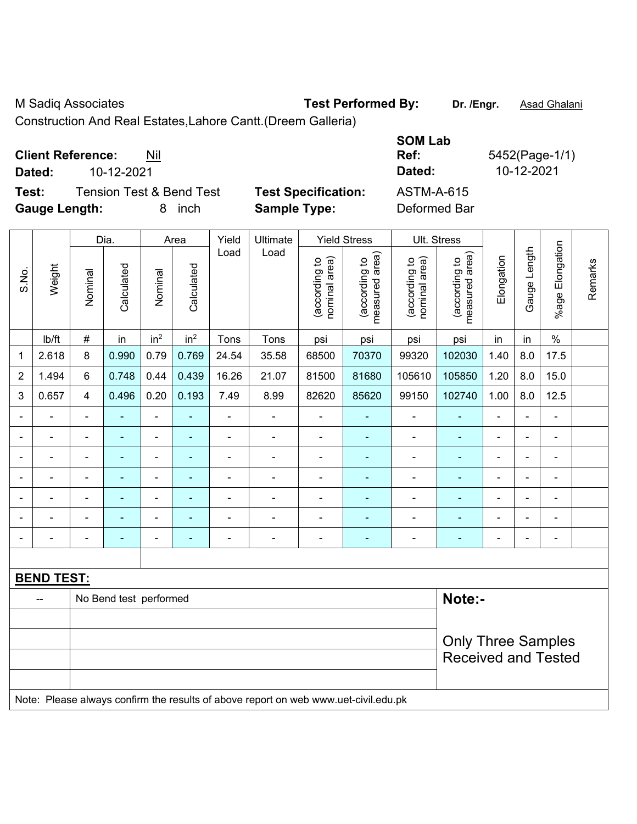M Sadiq Associates **Test Performed By: Dr. /Engr.** Asad Ghalani

Construction And Real Estates,Lahore Cantt.(Dreem Galleria)

**Client Reference:** Nil

**Test:** Tension Test & Bend Test **Test Specification:** ASTM-A-615 **Gauge Length:** 8 inch **Sample Type:** Deformed Bar

**SOM Lab Ref:** 5452(Page-1/1) **Dated:** 10-12-2021 **Dated:** 10-12-2021

Dia. | Area | Yield | Ultimate | Yield Stress | Ult. Stress %age Elongation %age Elongation Gauge Length Load Load Gauge Length (according to<br>measured area) measured area) (according to<br>measured area) measured area) (according to<br>nominal area) (according to<br>nominal area) **Elongation** nominal area) nominal area) Elongation (according to (according to (according to (according to Remarks Remarks **Calculated Calculated** Weight Calculated Calculated S.No. Nominal Nominal Vominal Vominal | lb/ft | # | in | in<sup>2</sup> | in<sup>2</sup> | Tons | Tons | psi | psi | psi | psi | in | in | % 1 | 2.618 | 8 | 0.990 | 0.79 | 0.769 | 24.54 | 35.58 | 68500 | 70370 | 99320 | 102030 | 1.40 | 8.0 | 17.5 2 | 1.494 | 6 | 0.748 | 0.44 | 0.439 | 16.26 | 21.07 | 81500 | 81680 | 105610 | 105850 | 1.20 | 8.0 | 15.0 3 | 0.657 | 4 | 0.496 | 0.20 | 0.193 | 7.49 | 8.99 | 82620 | 85620 | 99150 | 102740 | 1.00 | 8.0 | 12.5 - - - - - - - - - - - - - - - - - - - - - - - - - - - - - - - - - - - - - - - - - - - - - - - - - - - - - - - - - - - - - - - - - - - - - - - - - - - - - - - - - - - - - - - - - - - - - - - - - - - - - - - - - **BEND TEST:**  -- No Bend test performed **Note:**-Only Three Samples Received and Tested Note: Please always confirm the results of above report on web www.uet-civil.edu.pk